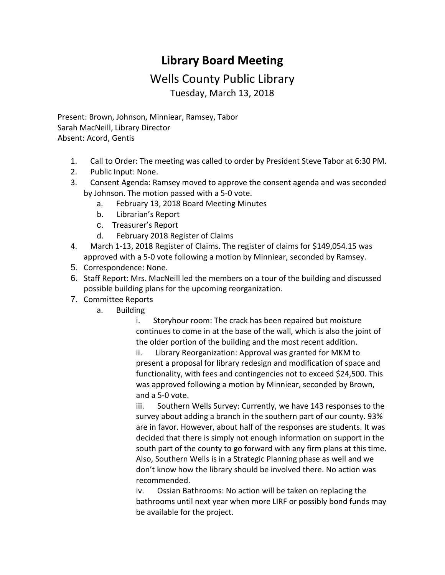## **Library Board Meeting**

## Wells County Public Library Tuesday, March 13, 2018

Present: Brown, Johnson, Minniear, Ramsey, Tabor Sarah MacNeill, Library Director Absent: Acord, Gentis

- 1. Call to Order: The meeting was called to order by President Steve Tabor at 6:30 PM.
- 2. Public Input: None.
- 3. Consent Agenda: Ramsey moved to approve the consent agenda and was seconded by Johnson. The motion passed with a 5-0 vote.
	- a. February 13, 2018 [Board Meeting Minutes](http://wellscolibrary.org/board/agenda_files/Minutes.pdf)
	- b. [Librarian's Report](http://www.wellscolibrary.org/board/agenda_files/Librarian%20Report.pdf)
	- c. [Treasurer's Report](http://www.wellscolibrary.org/board/agenda_files/Financial%20Report.pdf)
	- d. February 2018 [Register of Claims](http://www.wellscolibrary.org/board/agenda_files/Previous%20Register%20Of%20Claims.pdf)
- 4. March 1-13, 2018 [Register of Claims.](http://www.wellscolibrary.org/board/agenda_files/Current%20Register%20Of%20Claims.pdf) The register of claims for \$149,054.15 was approved with a 5-0 vote following a motion by Minniear, seconded by Ramsey.
- 5. Correspondence: None.
- 6. Staff Report: Mrs. MacNeill led the members on a tour of the building and discussed possible building plans for the upcoming reorganization.
- 7. Committee Reports
	- a. Building

 i. Storyhour room: The crack has been repaired but moisture continues to come in at the base of the wall, which is also the joint of the older portion of the building and the most recent addition.

 ii. [Library](http://www.wellscolibrary.org/board/agenda_files/MKM%20Library%20Brochure%202017-11-01.pdf) [Reorganization:](http://www.wellscolibrary.org/board/agenda_files/Wells%20County%20Library%202018-03-12%20Fee%20Proposal.pdf) Approval was granted for MKM to present a proposal for library redesign and modification of space and functionality, with fees and contingencies not to exceed \$24,500. This was approved following a motion by Minniear, seconded by Brown, and a 5-0 vote.

 iii. Southern Wells Survey: Currently, we have 143 responses to the survey about adding a branch in the southern part of our county. 93% are in favor. However, about half of the responses are students. It was decided that there is simply not enough information on support in the south part of the county to go forward with any firm plans at this time. Also, Southern Wells is in a Strategic Planning phase as well and we don't know how the library should be involved there. No action was recommended.

 iv. Ossian Bathrooms: No action will be taken on replacing the bathrooms until next year when more LIRF or possibly bond funds may be available for the project.